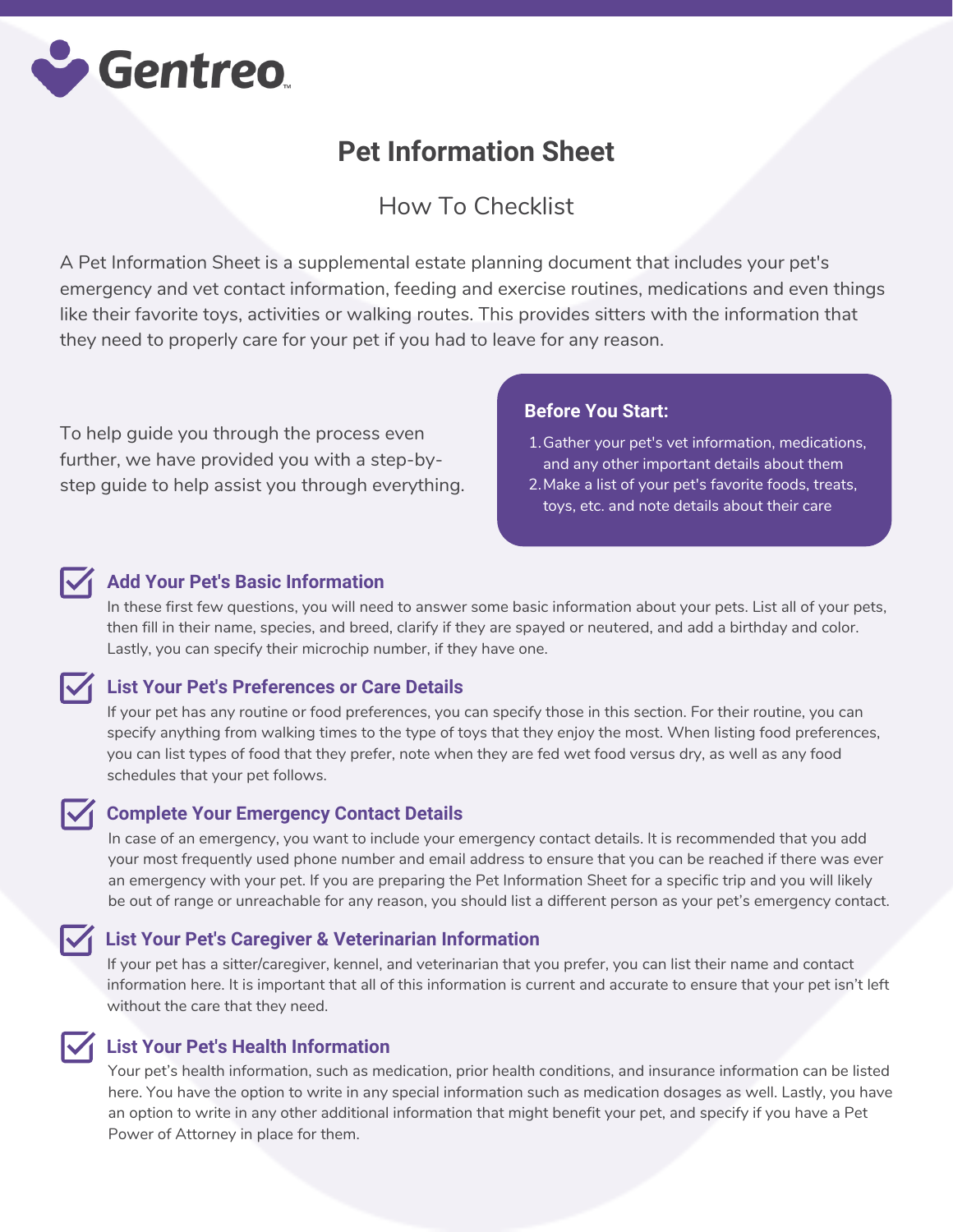

# **Pet Information Sheet**

## How To Checklist

A Pet Information Sheet is a supplemental estate planning document that includes your pet's emergency and vet contact information, feeding and exercise routines, medications and even things like their favorite toys, activities or walking routes. This provides sitters with the information that they need to properly care for your pet if you had to leave for any reason.

To help guide you through the process even further, we have provided you with a step-bystep guide to help assist you through everything.

### **Before You Start:**

- 1. Gather your pet's vet information, medications, and any other important details about them
- 2. Make a list of your pet's favorite foods, treats, toys, etc. and note details about their care



### **Add Your Pet's Basic Information**

In these first few questions, you will need to answer some basic information about your pets. List all of your pets, then fill in their name, species, and breed, clarify if they are spayed or neutered, and add a birthday and color. Lastly, you can specify their microchip number, if they have one.

### **List Your Pet's Preferences or Care Details**

If your pet has any routine or food preferences, you can specify those in this section. For their routine, you can specify anything from walking times to the type of toys that they enjoy the most. When listing food preferences, you can list types of food that they prefer, note when they are fed wet food versus dry, as well as any food schedules that your pet follows.

### **Complete Your Emergency Contact Details**

In case of an emergency, you want to include your emergency contact details. It is recommended that you add your most frequently used phone number and email address to ensure that you can be reached if there was ever an emergency with your pet. If you are preparing the Pet Information Sheet for a specific trip and you will likely be out of range or unreachable for any reason, you should list a different person as your pet's emergency contact.

### **List Your Pet's Caregiver & Veterinarian Information**

If your pet has a sitter/caregiver, kennel, and veterinarian that you prefer, you can list their name and contact information here. It is important that all of this information is current and accurate to ensure that your pet isn't left without the care that they need.

### **List Your Pet's Health Information**

Your pet's health information, such as medication, prior health conditions, and insurance information can be listed here. You have the option to write in any special information such as medication dosages as well. Lastly, you have an option to write in any other additional information that might benefit your pet, and specify if you have a Pet Power of Attorney in place for them.